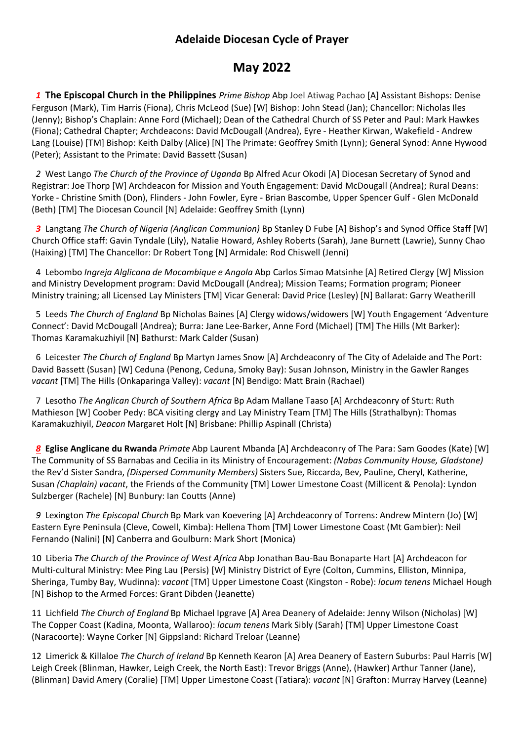## **Adelaide Diocesan Cycle of Prayer**

## **May 2022**

*1* **The Episcopal Church in the Philippines** *Prime Bishop* Abp Joel Atiwag Pachao [A] Assistant Bishops: Denise Ferguson (Mark), Tim Harris (Fiona), Chris McLeod (Sue) [W] Bishop: John Stead (Jan); Chancellor: Nicholas Iles (Jenny); Bishop's Chaplain: Anne Ford (Michael); Dean of the Cathedral Church of SS Peter and Paul: Mark Hawkes (Fiona); Cathedral Chapter; Archdeacons: David McDougall (Andrea), Eyre - Heather Kirwan, Wakefield - Andrew Lang (Louise) [TM] Bishop: Keith Dalby (Alice) [N] The Primate: Geoffrey Smith (Lynn); General Synod: Anne Hywood (Peter); Assistant to the Primate: David Bassett (Susan)

 *2* West Lango *The Church of the Province of Uganda* Bp Alfred Acur Okodi [A] Diocesan Secretary of Synod and Registrar: Joe Thorp [W] Archdeacon for Mission and Youth Engagement: David McDougall (Andrea); Rural Deans: Yorke - Christine Smith (Don), Flinders - John Fowler, Eyre - Brian Bascombe, Upper Spencer Gulf - Glen McDonald (Beth) [TM] The Diocesan Council [N] Adelaide: Geoffrey Smith (Lynn)

 *3* Langtang *The Church of Nigeria (Anglican Communion)* Bp Stanley D Fube [A] Bishop's and Synod Office Staff [W] Church Office staff: Gavin Tyndale (Lily), Natalie Howard, Ashley Roberts (Sarah), Jane Burnett (Lawrie), Sunny Chao (Haixing) [TM] The Chancellor: Dr Robert Tong [N] Armidale: Rod Chiswell (Jenni)

4 Lebombo *Ingreja Alglicana de Mocambique e Angola* Abp Carlos Simao Matsinhe [A] Retired Clergy [W] Mission and Ministry Development program: David McDougall (Andrea); Mission Teams; Formation program; Pioneer Ministry training; all Licensed Lay Ministers [TM] Vicar General: David Price (Lesley) [N] Ballarat: Garry Weatherill

5 Leeds *The Church of England* Bp Nicholas Baines [A] Clergy widows/widowers [W] Youth Engagement 'Adventure Connect': David McDougall (Andrea); Burra: Jane Lee-Barker, Anne Ford (Michael) [TM] The Hills (Mt Barker): Thomas Karamakuzhiyil [N] Bathurst: Mark Calder (Susan)

 6 Leicester *The Church of England* Bp Martyn James Snow [A] Archdeaconry of The City of Adelaide and The Port: David Bassett (Susan) [W] Ceduna (Penong, Ceduna, Smoky Bay): Susan Johnson, Ministry in the Gawler Ranges *vacant* [TM] The Hills (Onkaparinga Valley): *vacant* [N] Bendigo: Matt Brain (Rachael)

 7 Lesotho *The Anglican Church of Southern Africa* Bp Adam Mallane Taaso [A] Archdeaconry of Sturt: Ruth Mathieson [W] Coober Pedy: BCA visiting clergy and Lay Ministry Team [TM] The Hills (Strathalbyn): Thomas Karamakuzhiyil, *Deacon* Margaret Holt [N] Brisbane: Phillip Aspinall (Christa)

 *8* **Eglise Anglicane du Rwanda** *Primate* Abp Laurent Mbanda [A] Archdeaconry of The Para: Sam Goodes (Kate) [W] The Community of SS Barnabas and Cecilia in its Ministry of Encouragement: *(Nabas Community House, Gladstone)*  the Rev'd Sister Sandra, *(Dispersed Community Members)* Sisters Sue, Riccarda, Bev, Pauline, Cheryl, Katherine, Susan *(Chaplain) vacant*, the Friends of the Community [TM] Lower Limestone Coast (Millicent & Penola): Lyndon Sulzberger (Rachele) [N] Bunbury: Ian Coutts (Anne)

*9* Lexington *The Episcopal Church* Bp Mark van Koevering [A] Archdeaconry of Torrens: Andrew Mintern (Jo) [W] Eastern Eyre Peninsula (Cleve, Cowell, Kimba): Hellena Thom [TM] Lower Limestone Coast (Mt Gambier): Neil Fernando (Nalini) [N] Canberra and Goulburn: Mark Short (Monica)

10 Liberia *The Church of the Province of West Africa* Abp Jonathan Bau-Bau Bonaparte Hart [A] Archdeacon for Multi-cultural Ministry: Mee Ping Lau (Persis) [W] Ministry District of Eyre (Colton, Cummins, Elliston, Minnipa, Sheringa, Tumby Bay, Wudinna): *vacant* [TM] Upper Limestone Coast (Kingston - Robe): *locum tenens* Michael Hough [N] Bishop to the Armed Forces: Grant Dibden (Jeanette)

11 Lichfield *The Church of England* Bp Michael Ipgrave [A] Area Deanery of Adelaide: Jenny Wilson (Nicholas) [W] The Copper Coast (Kadina, Moonta, Wallaroo): *locum tenens* Mark Sibly (Sarah) [TM] Upper Limestone Coast (Naracoorte): Wayne Corker [N] Gippsland: Richard Treloar (Leanne)

12 Limerick & Killaloe *The Church of Ireland* Bp Kenneth Kearon [A] Area Deanery of Eastern Suburbs: Paul Harris [W] Leigh Creek (Blinman, Hawker, Leigh Creek, the North East): Trevor Briggs (Anne), (Hawker) Arthur Tanner (Jane), (Blinman) David Amery (Coralie) [TM] Upper Limestone Coast (Tatiara): *vacant* [N] Grafton: Murray Harvey (Leanne)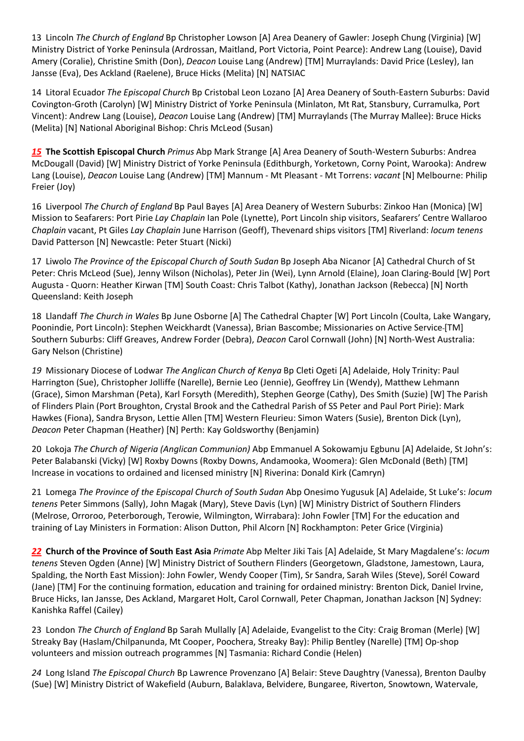13 Lincoln *The Church of England* Bp Christopher Lowson [A] Area Deanery of Gawler: Joseph Chung (Virginia) [W] Ministry District of Yorke Peninsula (Ardrossan, Maitland, Port Victoria, Point Pearce): Andrew Lang (Louise), David Amery (Coralie), Christine Smith (Don), *Deacon* Louise Lang (Andrew) [TM] Murraylands: David Price (Lesley), Ian Jansse (Eva), Des Ackland (Raelene), Bruce Hicks (Melita) [N] NATSIAC

14 Litoral Ecuador *The Episcopal Church* Bp Cristobal Leon Lozano [A] Area Deanery of South-Eastern Suburbs: David Covington-Groth (Carolyn) [W] Ministry District of Yorke Peninsula (Minlaton, Mt Rat, Stansbury, Curramulka, Port Vincent): Andrew Lang (Louise), *Deacon* Louise Lang (Andrew) [TM] Murraylands (The Murray Mallee): Bruce Hicks (Melita) [N] National Aboriginal Bishop: Chris McLeod (Susan)

*15* **The Scottish Episcopal Church** *Primus* Abp Mark Strange [A] Area Deanery of South-Western Suburbs: Andrea McDougall (David) [W] Ministry District of Yorke Peninsula (Edithburgh, Yorketown, Corny Point, Warooka): Andrew Lang (Louise), *Deacon* Louise Lang (Andrew) [TM] Mannum - Mt Pleasant - Mt Torrens: *vacant* [N] Melbourne: Philip Freier (Joy)

16 Liverpool *The Church of England* Bp Paul Bayes [A] Area Deanery of Western Suburbs: Zinkoo Han (Monica) [W] Mission to Seafarers: Port Pirie *Lay Chaplain* Ian Pole (Lynette), Port Lincoln ship visitors, Seafarers' Centre Wallaroo *Chaplain* vacant, Pt Giles *Lay Chaplain* June Harrison (Geoff), Thevenard ships visitors [TM] Riverland: *locum tenens* David Patterson [N] Newcastle: Peter Stuart (Nicki)

17 Liwolo *The Province of the Episcopal Church of South Sudan* Bp Joseph Aba Nicanor [A] Cathedral Church of St Peter: Chris McLeod (Sue), Jenny Wilson (Nicholas), Peter Jin (Wei), Lynn Arnold (Elaine), Joan Claring-Bould [W] Port Augusta - Quorn: Heather Kirwan [TM] South Coast: Chris Talbot (Kathy), Jonathan Jackson (Rebecca) [N] North Queensland: Keith Joseph

18 Llandaff *The Church in Wales* Bp June Osborne [A] The Cathedral Chapter [W] Port Lincoln (Coulta, Lake Wangary, Poonindie, Port Lincoln): Stephen Weickhardt (Vanessa), Brian Bascombe; Missionaries on Active Service [TM] Southern Suburbs: Cliff Greaves, Andrew Forder (Debra), *Deacon* Carol Cornwall (John) [N] North-West Australia: Gary Nelson (Christine)

*19* Missionary Diocese of Lodwar *The Anglican Church of Kenya* Bp Cleti Ogeti [A] Adelaide, Holy Trinity: Paul Harrington (Sue), Christopher Jolliffe (Narelle), Bernie Leo (Jennie), Geoffrey Lin (Wendy), Matthew Lehmann (Grace), Simon Marshman (Peta), Karl Forsyth (Meredith), Stephen George (Cathy), Des Smith (Suzie) [W] The Parish of Flinders Plain (Port Broughton, Crystal Brook and the Cathedral Parish of SS Peter and Paul Port Pirie): Mark Hawkes (Fiona), Sandra Bryson, Lettie Allen [TM] Western Fleurieu: Simon Waters (Susie), Brenton Dick (Lyn), *Deacon* Peter Chapman (Heather) [N] Perth: Kay Goldsworthy (Benjamin)

20 Lokoja *The Church of Nigeria (Anglican Communion)* Abp Emmanuel A Sokowamju Egbunu [A] Adelaide, St John's: Peter Balabanski (Vicky) [W] Roxby Downs (Roxby Downs, Andamooka, Woomera): Glen McDonald (Beth) [TM] Increase in vocations to ordained and licensed ministry [N] Riverina: Donald Kirk (Camryn)

21 Lomega *The Province of the Episcopal Church of South Sudan* Abp Onesimo Yugusuk [A] Adelaide, St Luke's: *locum tenens* Peter Simmons (Sally), John Magak (Mary), Steve Davis (Lyn) [W] Ministry District of Southern Flinders (Melrose, Orroroo, Peterborough, Terowie, Wilmington, Wirrabara): John Fowler [TM] For the education and training of Lay Ministers in Formation: Alison Dutton, Phil Alcorn [N] Rockhampton: Peter Grice (Virginia)

*22* **Church of the Province of South East Asia** *Primate* Abp Melter Jiki Tais [A] Adelaide, St Mary Magdalene's: *locum tenens* Steven Ogden (Anne) [W] Ministry District of Southern Flinders (Georgetown, Gladstone, Jamestown, Laura, Spalding, the North East Mission): John Fowler, Wendy Cooper (Tim), Sr Sandra, Sarah Wiles (Steve), Sorél Coward (Jane) [TM] For the continuing formation, education and training for ordained ministry: Brenton Dick, Daniel Irvine, Bruce Hicks, Ian Jansse, Des Ackland, Margaret Holt, Carol Cornwall, Peter Chapman, Jonathan Jackson [N] Sydney: Kanishka Raffel (Cailey)

23 London *The Church of England* Bp Sarah Mullally [A] Adelaide, Evangelist to the City: Craig Broman (Merle) [W] Streaky Bay (Haslam/Chilpanunda, Mt Cooper, Poochera, Streaky Bay): Philip Bentley (Narelle) [TM] Op-shop volunteers and mission outreach programmes [N] Tasmania: Richard Condie (Helen)

*24* Long Island *The Episcopal Church* Bp Lawrence Provenzano [A] Belair: Steve Daughtry (Vanessa), Brenton Daulby (Sue) [W] Ministry District of Wakefield (Auburn, Balaklava, Belvidere, Bungaree, Riverton, Snowtown, Watervale,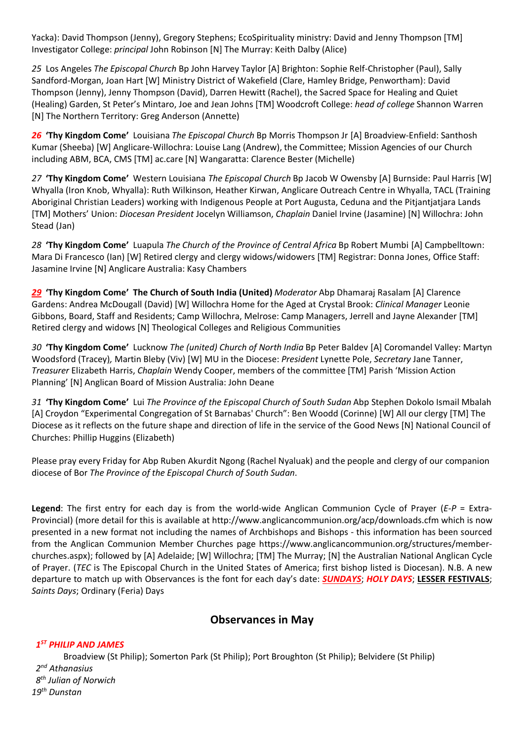Yacka): David Thompson (Jenny), Gregory Stephens; EcoSpirituality ministry: David and Jenny Thompson [TM] Investigator College: *principal* John Robinson [N] The Murray: Keith Dalby (Alice)

*25* Los Angeles *The Episcopal Church* Bp John Harvey Taylor [A] Brighton: Sophie Relf-Christopher (Paul), Sally Sandford-Morgan, Joan Hart [W] Ministry District of Wakefield (Clare, Hamley Bridge, Penwortham): David Thompson (Jenny), Jenny Thompson (David), Darren Hewitt (Rachel), the Sacred Space for Healing and Quiet (Healing) Garden, St Peter's Mintaro, Joe and Jean Johns [TM] Woodcroft College: *head of college* Shannon Warren [N] The Northern Territory: Greg Anderson (Annette)

*26* **'Thy Kingdom Come'** Louisiana *The Episcopal Church* Bp Morris Thompson Jr [A] Broadview-Enfield: Santhosh Kumar (Sheeba) [W] Anglicare-Willochra: Louise Lang (Andrew), the Committee; Mission Agencies of our Church including ABM, BCA, CMS [TM] ac.care [N] Wangaratta: Clarence Bester (Michelle)

*27* **'Thy Kingdom Come'** Western Louisiana *The Episcopal Church* Bp Jacob W Owensby [A] Burnside: Paul Harris [W] Whyalla (Iron Knob, Whyalla): Ruth Wilkinson, Heather Kirwan, Anglicare Outreach Centre in Whyalla, TACL (Training Aboriginal Christian Leaders) working with Indigenous People at Port Augusta, Ceduna and the Pitjantjatjara Lands [TM] Mothers' Union: *Diocesan President* Jocelyn Williamson, *Chaplain* Daniel Irvine (Jasamine) [N] Willochra: John Stead (Jan)

*28* **'Thy Kingdom Come'** Luapula *The Church of the Province of Central Africa* Bp Robert Mumbi [A] Campbelltown: Mara Di Francesco (Ian) [W] Retired clergy and clergy widows/widowers [TM] Registrar: Donna Jones, Office Staff: Jasamine Irvine [N] Anglicare Australia: Kasy Chambers

*29* **'Thy Kingdom Come' The Church of South India (United)** *Moderator* Abp Dhamaraj Rasalam [A] Clarence Gardens: Andrea McDougall (David) [W] Willochra Home for the Aged at Crystal Brook: *Clinical Manager* Leonie Gibbons, Board, Staff and Residents; Camp Willochra, Melrose: Camp Managers, Jerrell and Jayne Alexander [TM] Retired clergy and widows [N] Theological Colleges and Religious Communities

*30* **'Thy Kingdom Come'** Lucknow *The (united) Church of North India* Bp Peter Baldev [A] Coromandel Valley: Martyn Woodsford (Tracey)*,* Martin Bleby (Viv) [W] MU in the Diocese: *President* Lynette Pole, *Secretary* Jane Tanner, *Treasurer* Elizabeth Harris, *Chaplain* Wendy Cooper, members of the committee [TM] Parish 'Mission Action Planning' [N] Anglican Board of Mission Australia: John Deane

*31* **'Thy Kingdom Come'** Lui *The Province of the Episcopal Church of South Sudan* Abp Stephen Dokolo Ismail Mbalah [A] Croydon "Experimental Congregation of St Barnabas' Church": Ben Woodd (Corinne) [W] All our clergy [TM] The Diocese as it reflects on the future shape and direction of life in the service of the Good News [N] National Council of Churches: Phillip Huggins (Elizabeth)

Please pray every Friday for Abp Ruben Akurdit Ngong (Rachel Nyaluak) and the people and clergy of our companion diocese of Bor *The Province of the Episcopal Church of South Sudan*.

**Legend**: The first entry for each day is from the world-wide Anglican Communion Cycle of Prayer (*E-P* = Extra-Provincial) (more detail for this is available at<http://www.anglicancommunion.org/acp/downloads.cfm> which is now presented in a new format not including the names of Archbishops and Bishops - this information has been sourced from the Anglican Communion Member Churches page https://www.anglicancommunion.org/structures/memberchurches.aspx); followed by [A] Adelaide; [W] Willochra; [TM] The Murray; [N] the Australian National Anglican Cycle of Prayer. (*TEC* is The Episcopal Church in the United States of America; first bishop listed is Diocesan). N.B. A new departure to match up with Observances is the font for each day's date: *SUNDAYS*; *HOLY DAYS*; **LESSER FESTIVALS**; *Saints Days*; Ordinary (Feria) Days

## **Observances in May**

## *1 ST PHILIP AND JAMES*

Broadview (St Philip); Somerton Park (St Philip); Port Broughton (St Philip); Belvidere (St Philip)  *2 nd Athanasius 8 th Julian of Norwich 19th Dunstan*